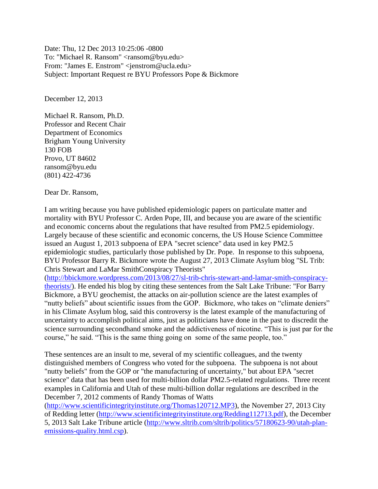Date: Thu, 12 Dec 2013 10:25:06 -0800 To: "Michael R. Ransom" <ransom@byu.edu> From: "James E. Enstrom" <jenstrom@ucla.edu> Subject: Important Request re BYU Professors Pope & Bickmore

December 12, 2013

Michael R. Ransom, Ph.D. Professor and Recent Chair Department of Economics Brigham Young University 130 FOB Provo, UT 84602 ransom@byu.edu (801) 422-4736

Dear Dr. Ransom,

I am writing because you have published epidemiologic papers on particulate matter and mortality with BYU Professor C. Arden Pope, III, and because you are aware of the scientific and economic concerns about the regulations that have resulted from PM2.5 epidemiology. Largely because of these scientific and economic concerns, the US House Science Committee issued an August 1, 2013 subpoena of EPA "secret science" data used in key PM2.5 epidemiologic studies, particularly those published by Dr. Pope. In response to this subpoena, BYU Professor Barry R. Bickmore wrote the August 27, 2013 Climate Asylum blog "SL Trib: Chris Stewart and LaMar SmithConspiracy Theorists"

[\(http://bbickmore.wordpress.com/2013/08/27/sl-trib-chris-stewart-and-lamar-smith-conspiracy](http://bbickmore.wordpress.com/2013/08/27/sl-trib-chris-stewart-and-lamar-smith-conspiracy-theorists/)[theorists/\)](http://bbickmore.wordpress.com/2013/08/27/sl-trib-chris-stewart-and-lamar-smith-conspiracy-theorists/). He ended his blog by citing these sentences from the Salt Lake Tribune: "For Barry Bickmore, a BYU geochemist, the attacks on air-pollution science are the latest examples of "nutty beliefs" about scientific issues from the GOP. Bickmore, who takes on "climate deniers" in his Climate Asylum blog, said this controversy is the latest example of the manufacturing of uncertainty to accomplish political aims, just as politicians have done in the past to discredit the science surrounding secondhand smoke and the addictiveness of nicotine. "This is just par for the course," he said. "This is the same thing going on some of the same people, too."

These sentences are an insult to me, several of my scientific colleagues, and the twenty distinguished members of Congress who voted for the subpoena. The subpoena is not about "nutty beliefs" from the GOP or "the manufacturing of uncertainty," but about EPA "secret science" data that has been used for multi-billion dollar PM2.5-related regulations. Three recent examples in California and Utah of these multi-billion dollar regulations are described in the December 7, 2012 comments of Randy Thomas of Watts

[\(http://www.scientificintegrityinstitute.org/Thomas120712.MP3\)](http://www.scientificintegrityinstitute.org/Thomas120712.MP3), the November 27, 2013 City of Redding letter [\(http://www.scientificintegrityinstitute.org/Redding112713.pdf\)](http://www.scientificintegrityinstitute.org/Redding112713.pdf), the December 5, 2013 Salt Lake Tribune article [\(http://www.sltrib.com/sltrib/politics/57180623-90/utah-plan](http://www.sltrib.com/sltrib/politics/57180623-90/utah-plan-emissions-quality.html.csp)[emissions-quality.html.csp\)](http://www.sltrib.com/sltrib/politics/57180623-90/utah-plan-emissions-quality.html.csp).